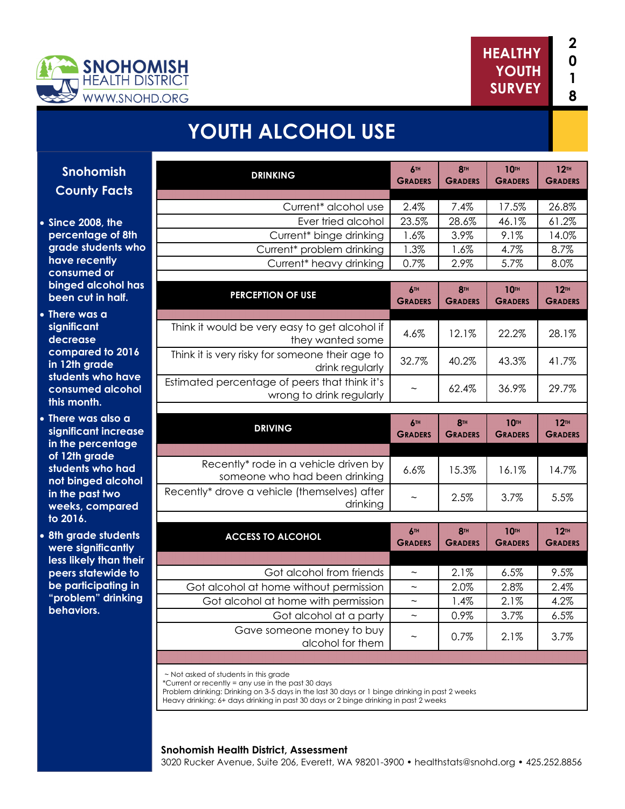



# **YOUTH ALCOHOL USE**

| <u>nish</u><br>acts       | <b>DRINKING</b>                                                                                 | 6TH<br><b>GRADERS</b>        | <b>8TH</b><br><b>GRADERS</b> | <b>10TH</b><br><b>GRADERS</b> | 12 <sup>TH</sup><br><b>GRADERS</b> |
|---------------------------|-------------------------------------------------------------------------------------------------|------------------------------|------------------------------|-------------------------------|------------------------------------|
|                           | Current* alcohol use                                                                            | 2.4%                         | 7.4%                         | 17.5%                         | 26.8%                              |
| the                       | Ever tried alcohol                                                                              | 23.5%                        | 28.6%                        | 46.1%                         | 61.2%                              |
| of 8th                    | Current* binge drinking                                                                         | 1.6%                         | 3.9%                         | 9.1%                          | 14.0%                              |
| nts who                   | Current* problem drinking                                                                       | 1.3%                         | 1.6%                         | 4.7%                          | 8.7%                               |
| <b>tly</b>                | Current* heavy drinking                                                                         | 0.7%                         | 2.9%                         | 5.7%                          | 8.0%                               |
| <b>TC</b><br>hol has      |                                                                                                 |                              |                              |                               |                                    |
| half.                     | <b>PERCEPTION OF USE</b>                                                                        | 6TH<br><b>GRADERS</b>        | <b>8TH</b><br><b>GRADERS</b> | <b>10TH</b><br><b>GRADERS</b> | 12 <sup>TH</sup><br><b>GRADERS</b> |
|                           | Think it would be very easy to get alcohol if<br>they wanted some                               | 4.6%                         | 12.1%                        | 22.2%                         | 28.1%                              |
| o 2016<br>e<br>o have     | Think it is very risky for someone their age to<br>drink regularly                              | 32.7%                        | 40.2%                        | 43.3%                         | 41.7%                              |
| alcohol                   | Estimated percentage of peers that think it's<br>wrong to drink regularly                       |                              | 62.4%                        | 36.9%                         | 29.7%                              |
| Iso a                     |                                                                                                 |                              |                              |                               |                                    |
| <b>ncrease</b><br>ntage   | <b>DRIVING</b>                                                                                  | 6TH<br><b>GRADERS</b>        | <b>8TH</b><br><b>GRADERS</b> | <b>10TH</b><br><b>GRADERS</b> | 12 <sup>TH</sup><br><b>GRADERS</b> |
| le.                       |                                                                                                 |                              |                              |                               |                                    |
| o had<br>alcohol          | Recently* rode in a vehicle driven by<br>someone who had been drinking                          | 6.6%                         | 15.3%                        | 16.1%                         | 14.7%                              |
| <b>WO</b><br><b>pared</b> | Recently* drove a vehicle (themselves) after<br>drinking                                        |                              | 2.5%                         | 3.7%                          | 5.5%                               |
| udents<br>cantly          | <b>ACCESS TO ALCOHOL</b>                                                                        | <b>6TH</b><br><b>GRADERS</b> | <b>8TH</b><br><b>GRADERS</b> | <b>10TH</b><br><b>GRADERS</b> | 12 <sup>TH</sup><br><b>GRADERS</b> |
| an their                  |                                                                                                 |                              |                              |                               |                                    |
| vide to                   | Got alcohol from friends                                                                        | $\sim$                       | 2.1%                         | 6.5%                          | 9.5%                               |
| ating in                  | Got alcohol at home without permission                                                          | $\sim$                       | 2.0%                         | 2.8%                          | 2.4%                               |
| drinking                  | Got alcohol at home with permission                                                             | $\tilde{\phantom{a}}$        | 1.4%                         | 2.1%                          | 4.2%                               |
|                           | Got alcohol at a party                                                                          | $\tilde{\phantom{a}}$        | 0.9%                         | 3.7%                          | 6.5%                               |
|                           | Gave someone money to buy<br>alcohol for them                                                   | $\tilde{\phantom{a}}$        | 0.7%                         | 2.1%                          | 3.7%                               |
|                           |                                                                                                 |                              |                              |                               |                                    |
|                           | ~ Not asked of students in this grade<br>$^*$ Current or recently = any use in the past 30 days |                              |                              |                               |                                    |

\*Current or recently = any use in the past 30 days

Problem drinking: Drinking on 3-5 days in the last 30 days or 1 binge drinking in past 2 weeks

Heavy drinking: 6+ days drinking in past 30 days or 2 binge drinking in past 2 weeks

#### **Snohomish Health District, Assessment**

3020 Rucker Avenue, Suite 206, Everett, WA 98201-3900 • healthstats@snohd.org • 425.252.8856

**Snohomish County F** 

- **Since 2008, percentage** grade stude have recent consumed o **binged alco been cut in**
- **There was a significant decrease compared t** in 12th grad students wh consumed **a this month.**
- **There was a significant in** in the perce of 12th grad students wh **not binged in the past two** weeks, com **to 2016.**
- **8th grade st were signific less likely th peers statev be participc** "problem" o **behaviors.**